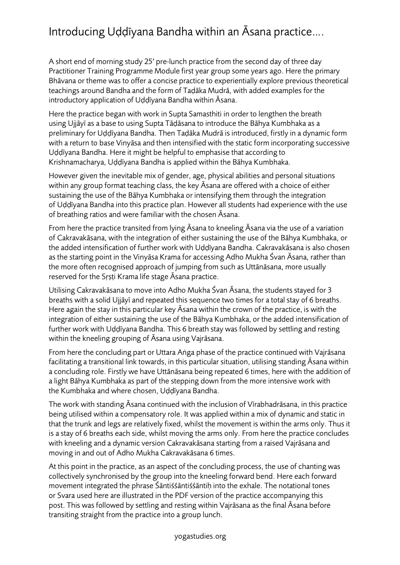## Introducing Uḍḍīyana Bandha within an Āsana practice….

A short end of morning study 25′ pre-lunch practice from the second day of three day Practitioner Training Programme Module first year group some years ago. Here the primary Bhāvana or theme was to offer a concise practice to experientially explore previous theoretical teachings around Bandha and the form of Taḍāka Mudrā, with added examples for the introductory application of Uḍḍīyana Bandha within Āsana.

Here the practice began with work in Supta Samasthiti in order to lengthen the breath using Ujjāyī as a base to using Supta Tāḍāsana to introduce the Bāhya Kumbhaka as a preliminary for Uḍḍīyana Bandha. Then Taḍāka Mudrā is introduced, firstly in a dynamic form with a return to base Vinyāsa and then intensified with the static form incorporating successive Uḍḍīyana Bandha. Here it might be helpful to emphasise that according to Krishnamacharya, Uḍḍīyana Bandha is applied within the Bāhya Kumbhaka.

However given the inevitable mix of gender, age, physical abilities and personal situations within any group format teaching class, the key Āsana are offered with a choice of either sustaining the use of the Bāhya Kumbhaka or intensifying them through the integration of Uḍḍīyana Bandha into this practice plan. However all students had experience with the use of breathing ratios and were familiar with the chosen Āsana.

From here the practice transited from lying Āsana to kneeling Āsana via the use of a variation of Cakravakāsana, with the integration of either sustaining the use of the Bāhya Kumbhaka, or the added intensification of further work with Uḍḍīyana Bandha. Cakravakāsana is also chosen as the starting point in the Vinyāsa Krama for accessing Adho Mukha Śvan Āsana, rather than the more often recognised approach of jumping from such as Uttānāsana, more usually reserved for the Srsti Krama life stage Asana practice.

Utilising Cakravakāsana to move into Adho Mukha Śvan Āsana, the students stayed for 3 breaths with a solid Ujjāyī and repeated this sequence two times for a total stay of 6 breaths. Here again the stay in this particular key Āsana within the crown of the practice, is with the integration of either sustaining the use of the Bāhya Kumbhaka, or the added intensification of further work with Uḍḍīyana Bandha. This 6 breath stay was followed by settling and resting within the kneeling grouping of Āsana using Vajrāsana.

From here the concluding part or Uttara Aṅga phase of the practice continued with Vajrāsana facilitating a transitional link towards, in this particular situation, utilising standing Āsana within a concluding role. Firstly we have Uttānāsana being repeated 6 times, here with the addition of a light Bāhya Kumbhaka as part of the stepping down from the more intensive work with the Kumbhaka and where chosen, Uḍḍīyana Bandha.

The work with standing Āsana continued with the inclusion of Vīrabhadrāsana, in this practice being utilised within a compensatory role. It was applied within a mix of dynamic and static in that the trunk and legs are relatively fixed, whilst the movement is within the arms only. Thus it is a stay of 6 breaths each side, whilst moving the arms only. From here the practice concludes with kneeling and a dynamic version Cakravakāsana starting from a raised Vajrāsana and moving in and out of Adho Mukha Cakravakāsana 6 times.

At this point in the practice, as an aspect of the concluding process, the use of chanting was collectively synchronised by the group into the kneeling forward bend. Here each forward movement integrated the phrase Śāntiśśāntiśśāntiḥ into the exhale. The notational tones or Svara used here are illustrated in the PDF version of the practice accompanying this post. This was followed by settling and resting within Vajrāsana as the final Āsana before transiting straight from the practice into a group lunch.